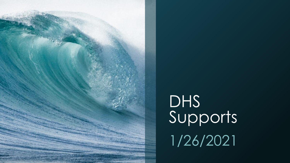

# DHS<br>Supports 1/26/2021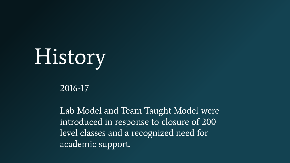# History

#### 2016-17

Lab Model and Team Taught Model were introduced in response to closure of 200 level classes and a recognized need for academic support.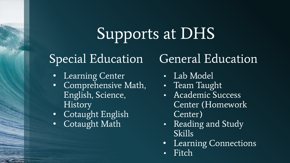# Supports at DHS

#### Special Education

- **Learning Center**
- Comprehensive Math, English, Science, **History**
- Cotaught English
- Cotaught Math

#### General Education

- Lab Model
- Team Taught
- Academic Success Center (Homework Center)
- Reading and Study Skills
- Learning Connections
- **Fitch**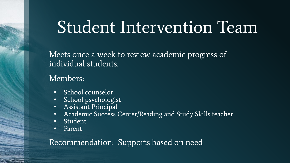### Student Intervention Team

Meets once a week to review academic progress of individual students.

Members:

- School counselor
- School psychologist
- Assistant Principal
- Academic Success Center/Reading and Study Skills teacher
- Student
- Parent

#### Recommendation: Supports based on need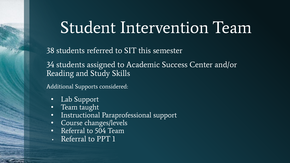### Student Intervention Team

38 students referred to SIT this semester

34 students assigned to Academic Success Center and/or Reading and Study Skills

Additional Supports considered:

- Lab Support
- Team taught
- Instructional Paraprofessional support
- Course changes/levels
- Referral to 504 Team
- Referral to PPT 1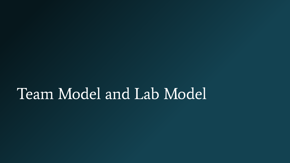#### Team Model and Lab Model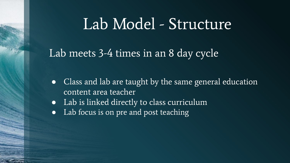#### Lab Model - Structure

Lab meets 3-4 times in an 8 day cycle.

- Class and lab are taught by the same general education content area teacher
- Lab is linked directly to class curriculum
- Lab focus is on pre and post teaching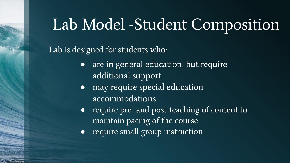### Lab Model -Student Composition

#### Lab is designed for students who:

- are in general education, but require additional support
- may require special education accommodations
- require pre- and post-teaching of content to maintain pacing of the course
- require small group instruction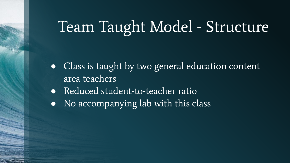# Team Taught Model - Structure

- Class is taught by two general education content area teachers
- Reduced student-to-teacher ratio
- No accompanying lab with this class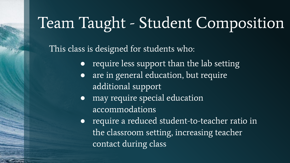# Team Taught - Student Composition

This class is designed for students who:

- require less support than the lab setting
- are in general education, but require additional support
- may require special education accommodations
- require a reduced student-to-teacher ratio in the classroom setting, increasing teacher contact during class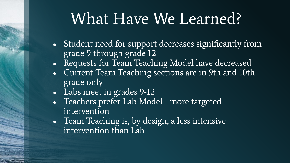### What Have We Learned?

- Student need for support decreases significantly from grade 9 through grade 12
- Requests for Team Teaching Model have decreased
- Current Team Teaching sections are in 9th and 10th grade only
- Labs meet in grades 9-12
- Teachers prefer Lab Model more targeted intervention
- Team Teaching is, by design, a less intensive intervention than Lab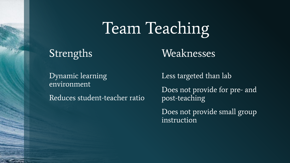# Team Teaching

#### Strengths

Weaknesses

Dynamic learning environment

Reduces student-teacher ratio

Less targeted than lab

Does not provide for pre- and post-teaching

Does not provide small group instruction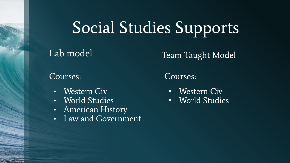# Social Studies Supports

#### Lab model

#### Team Taught Model

#### Courses:

- **Western Civ**
- World Studies
- American History
- Law and Government

Courses:

- Western Civ
- World Studies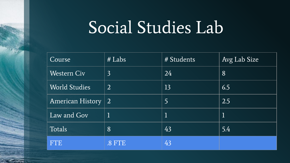### Social Studies Lab

| Course                  | $#$ Labs       | # Students  | Avg Lab Size |
|-------------------------|----------------|-------------|--------------|
| <b>Western Civ</b>      | $\overline{3}$ | 24          | 8            |
| <b>World Studies</b>    | 2              | 13          | 6.5          |
| <b>American History</b> | $\overline{2}$ | 5           | 2.5          |
| Law and Gov             |                | $\mathbf 1$ | ${\bf l}$    |
| Totals                  | 8              | 43          | 5.4          |
| <b>FTE</b>              | .8 FTE         | 43          |              |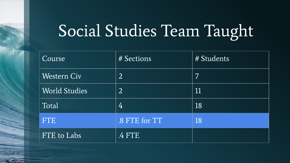# Social Studies Team Taught

| Course               | # Sections     | # Students       |
|----------------------|----------------|------------------|
| <b>Western Civ</b>   | $\overline{2}$ | 7                |
| <b>World Studies</b> | $\overline{2}$ | $11\phantom{.0}$ |
| Total                | 4              | 18               |
| <b>FTE</b>           | .8 FTE for TT  | 18               |
| FTE to Labs          | .4 FTE         |                  |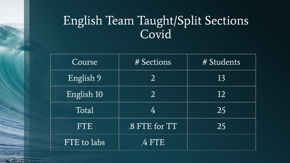#### English Team Taught/Split Sections Covid

| Course      | # Sections     | # Students |  |
|-------------|----------------|------------|--|
| English 9   | $\overline{2}$ | 13         |  |
| English 10  | 2              | 12         |  |
| Total       | 4              | 25         |  |
| <b>FTE</b>  | .8 FTE for TT  | 25         |  |
| FTE to labs | 4 FTE          |            |  |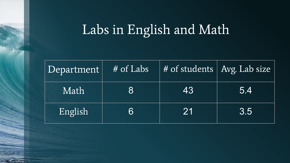### Labs in English and Math

| Department | $H$ of Labs | # of students   Avg. Lab size |     |
|------------|-------------|-------------------------------|-----|
| Math       | <b>87</b>   | 43                            | 5.4 |
| English    | 161         | 21                            | 3.5 |